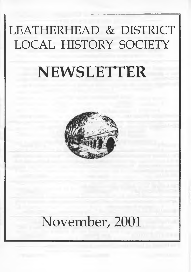# LEATHERHEAD & DISTRICT LOCAL HISTORY SOCIETY

# **NEWSLETTER**



# November, 2001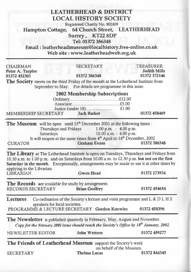| <b>LEATHERHEAD &amp; DISTRICT</b><br><b>LOCAL HISTORY SOCIETY</b><br>Registered Charity No. 802409<br>64 Church Street, LEATHERHEAD<br><b>Hampton Cottage,</b><br>Surrey, KT22 8DP<br>Tel: 01372 386348<br>Email: leatherheadmuseum@localhistory.free-online.co.uk<br>Web site: www.leatherheadweb.org.uk                              |                                                                                                                                        |                                                                                             |
|----------------------------------------------------------------------------------------------------------------------------------------------------------------------------------------------------------------------------------------------------------------------------------------------------------------------------------------|----------------------------------------------------------------------------------------------------------------------------------------|---------------------------------------------------------------------------------------------|
| <b>CHAIRMAN</b><br>Peter A. Tarplee<br>01372 452301<br>The Society meets on the third Friday of the month at the Letherhead Institute from<br>MEMBERSHIP SECRETARY Jack Barker                                                                                                                                                         | <b>SECRETARY</b><br>01372 386348<br>September to May. For details see programme in this issue.<br><b>2002 Membership Subscriptions</b> | <b>TREASURER</b><br><b>Judith Mills</b><br>01372 372146<br>01372 458469                     |
| The Museum will be open until 15 <sup>th</sup> December 2001 at the following times :<br>Thursdays and Fridays<br>$1.00$ p.m. $-4.00$ p.m.<br>10.00 a.m. - 4.00 p.m.<br>Saturdays<br>It will reopen at the same times from 4 <sup>th</sup> April to 14 <sup>th</sup> December, 2002<br><b>Graham Evans</b><br>01372 386348<br>CURATOR  |                                                                                                                                        |                                                                                             |
| The Library at The Letherhead Institute is open on Tuesdays, Thursdays and Fridays from<br>10.30 a.m. to 1.00 p.m. and on Saturdays from 10.00 a.m. to 12.30 p.m. but not on the first<br>Saturday in the month. Exceptionally, arrangements may be made to use it at other times by<br>applying to the Librarian.<br><b>LIBRARIAN</b> | <b>Gwen Hoad</b>                                                                                                                       | 01372 273934                                                                                |
| The Records are available for study by arrangement.<br>RECORDS SECRETARY                                                                                                                                                                                                                                                               | <b>Brian Godfrey</b>                                                                                                                   | 01372 454654                                                                                |
| Lectures.<br>speakers for local societies.<br>PROGRAMME & LECTURE SECRETARY Gordon Knowles                                                                                                                                                                                                                                             |                                                                                                                                        | Co-ordination of the Society's lecture and visits programme and L & D L H S<br>01372 458396 |
| <b>The Newsletter</b> is published quarterly in February, May, August and November.<br>NEWSLETTER EDITOR                                                                                                                                                                                                                               | Copy for the February 2002 issue should reach the Society's Office by 18 <sup>th</sup> January, 2002.<br>John Wettern                  | 01372 459277                                                                                |
| The Friends of Leatherhead Museum support the Society's work<br><b>SECRETARY</b>                                                                                                                                                                                                                                                       | on behalf of the Museum.<br><b>Thelma Lucas</b>                                                                                        | 01372 844345                                                                                |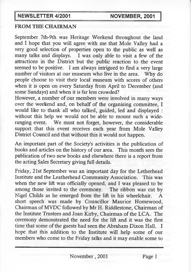## FROM THE CHAIRMAN

September 7th-9th was Heritage Weekend throughout the land and I hope that you will agree with me that Mole Valley had a very good selection of properties open to the public as well as many talks and displays. I was only able to visit a few of the attractions in the District but the public reaction to the event seemed to be positive. I am always intrigued to find a very large number of visitors at our museum who live in the area. Why do people choose to visit their local museum with scores of others when it is open on every Saturday from April to December (and some Sundays) and when it is far less crowded?

However, a number of our members were involved in many ways over the weekend and, on behalf of the organising committee, I would like to thank all who talked, guided, led and displayed : without this help we would not be able to mount such a wideranging event. We must not forget, however, the considerable support that this event receives each year from Mole Valley District Council and that without this it would not happen.

An important part of the Society's activities is the publication of books and articles on the history of our area. This month sees the publication of two new books and elsewhere there is a report from the acting Sales Secretary giving full details.

Friday, 21st September was an important day for the Letherhead Institute and the Leatherhead Community Association. This was when the new lift was officially opened, and I was pleased to be among those invited to the ceremony. The ribbon was cut by Nigel Childs as he emerged from the lift in his wheelchair. A short speech was made by Councillor Maurice Homewood, Chairman of MVDC followed by Mr H. Riddlestone, Chairman of the Institute Trustees and Joan Kirby, Chairman of the LCA. The ceremony demonstrated the need for the lift and it was the first time that some of the guests had seen the Abraham Dixon Hall. I hope that this addition to the Institute will help some of our members who come to the Friday talks and it may enable some to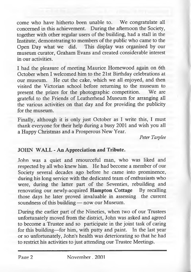come who have hitherto been unable to. We congratulate all concerned in this achievement. During the afternoon the Society, together with other regular users of the building, had a stall in the Institute, demonstrating to members of the public who came to the Open Day what we did. This display was organised by our museum curator, Graham Evans and created considerable interest in our activities.

I had the pleasure of meeting Maurice Homewood again on 6th October when I welcomed him to the 21st Birthday celebrations at our museum. He cut the cake, which we all enjoyed, and then visited the Victorian school before returning to the museum to present the prizes for the photographic competition. We are grateful to the Friends of Leatherhead Museum for arranging all the various activities on that day and for providing the publicity for the museum.

Finally, although it is only just October as I write this, I must thank everyone for their help during a busy 2001 and wish you all a Happy Christmas and a Prosperous New Year.

*Peter Tarplee*

#### JOHN WALL - An Appreciation and Tribute.

John was a quiet and resourceful man, who was liked and respected by all who knew him. He had become a member of our Society several decades ago before he came into prominence, during his long service with the dedicated team of enthusiasts who were, during the latter part of the Seventies, rebuilding and renovating our newly-acquired **Hampton Cottage** By recalling those days he later proved invaluable in assessing the current soundness of this building — now our Museum.

During the earlier part of the Nineties, when two of our Trustees unfortunately moved from the district, John was asked and agreed to become a Trustee and so participate in the joint task of caring for this building—for him, with putty and paint. In the last year or so unfortunately, John's health was deteriorating so that he had to restrict his activities to just attending our Trustee Meetings.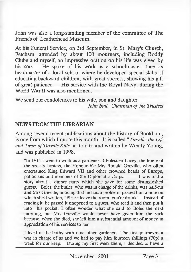John was also a long-standing member of the committee of The Friends of Leatherhead Museum.

At his Funeral Service, on 3rd September, in St. Mary's Church, Fetcham, attended by about 100 mourners, including Roddy Clube and myself, an impressive oration on his life was given by his son. He spoke of his work as a schoolmaster, then as headmaster of a local school where he developed special skills of educating backward children, with great success, showing his gift of great patience. His service with the Royal Navy, during the World War II was also mentioned.

We send our condolences to his wife, son and daughter. *John Bull, Chairman of the Trustees*

#### NEWS FROM THE LIBRARIAN

Among several recent publications about the history of Bookham, is one from which I quote this month. It is called " *Turville: the Life and Times of Turville Kille"* as told to and written by Wendy Young, and was published in 1998.

"In 1914 I went to work as a gardener at Polesden Lacey, the home of the society hostess, the Honourable Mrs Ronald Greville, who often entertained King Edward VII and other crowned heads of Europe, politicians and members of the Diplomatic Corps. I was told a story about a dinner party which she gave for some distinguished guests. Boles, the butler, who was in charge of the drinks, was half-cut and Mrs Greville, noticing that he had a problem, passed him a note on which she'd written, "Please leave the room, you're drunk". Instead of reading it, he passed it unopened to a guest, who read it and then put it into his pocket. I often wonder what she said to Boles the next morning, but Mrs Greville would never have given him the sack because, when she died, she left him a substantial amount of money in appreciation of his services to her.

I lived in the bothy with nine other gardeners. The first journeyman was in charge of us and we had to pay him fourteen shillings  $(70p)$  a week for our keep. During my first week there, I decided to have a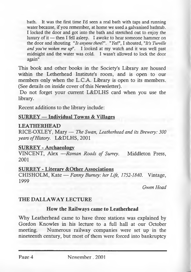bath. It was the first time I'd seen a real bath with taps and running water because, if you remember, at home we used a galvanised bathtub. I locked the door and got into the bath and stretched out to enjoy the luxury of it — then I fell asleep. I awoke to hear someone hammer on the door and shouting *"Is anyone there?'. "Yes\",* I shouted, *"It's Turville and you've woken me up".* I looked at my watch and it was well past midnight and the water was cold. I wasn't allowed to lock the door again"

This book and other books in the Society's Library are housed within the Letherhead Institute's room, and is open to our members only when the L.C.A. Library is open to its members. (See details on inside cover of this Newsletter).

Do not forget your current L&DLHS card when you use the library.

Recent additions to the library include:

#### $SURREY - Individual Towns & Villages$

#### LEATHERHEAD

RICE-OXLEY, Mary — *The Swan, Leatherhead and its Brewery: 300 years of History.* L&DLHS, 2001

#### SURREY - Archaeology

VINCENT, Alex —*Roman Roads of Surrey.* Middleton Press, 2001

#### SURREY - Literary &Other Associations

CHISHOLM, Kate — *Fanny Burney: her Life, 1752-1840.* Vintage, 1999

*Gwen Hoad*

# THE DALLAWAY LECTURE

# How the Railways came to Leatherhead

Why Leatherhead came to have three stations was explained by Gordon Knowles in his lecture to a full hall at our October meeting. Numerous railway companies were set up in the nineteenth century, but most of them were forced into bankruptcy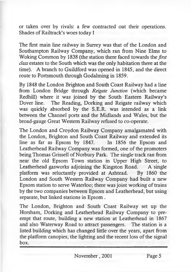or taken over by rivals: a few contracted out their operations. Shades of Railtrack's woes today !

The first main line railway in Surrey was that of the London and Southampton Railway Company, which ran from Nine Elms to Woking Common by 1838 (the station there faced towards the *first class* estates to the South which was the only habitation there at the time). A branch to Guildford was opened in 1845, and the direct route to Portsmouth through Godalming in 1859.

By 1848 the London Brighton and South Coast Railway had a line from London Bridge through *Reigate Junction* (which became Redhill) where it was joined by the South Eastern Railway's Dover line. The Reading, Dorking and Reigate railway which was quickly absorbed by the S.E.R. was intended as a link between the Channel ports and the Midlands and Wales, but the broad-gauge Great Western Railway refused to co-operate.

The London and Croydon Railway Company amalgamated with the London, Brighton and South Coast Railway and extended its line as far as Epsom by 1847. In 1856 the Epsom and Leatherhead Railway Company was formed, one of the promoters being Thomas Grissell of Norbury Park. The single track ran from near the old Epsom Town station in Upper High Street, to Leatherhead gasworks adjoining the Kingston Road. A single platform was reluctantly provided at Ashtead. By 1860 the London and South Western Railway Company had built a new Epsom station to serve Waterloo; there was joint working of trains by the two companies between Epsom and Leatherhead, but using separate, but linked stations in Epsom .

The London, Brighton and South Coast Railway set up the Horsham, Dorking and Leatherhead Railway Company to preempt that route, building a new station at Leatherhead in 1867 and also Waterway Road to attract passengers. The station is a listed building which has changed little over the years, apart from the platform canopies, the lighting and the recent loss of the signal box.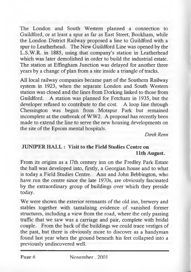The London and South Western planned a connection to Guildford, or at least a spur as far as East Street, Bookham, while the London District Railway proposed a line to Guildford with a spur to Leatherhead. The New Guildford Line was opened by the L.S.W.R. in 1885, using that company's station in Leatherhead which was later demolished in order to build the industrial estate. The station at Effingham Junction was delayed for another three years by a change of plan from a site inside a triangle of tracks.

All local railway companies became part of the Southern Railway system in 1923, when the separate London and South Western station was closed and the lines from Dorking linked to those from Guildford. A station was planned for Fetcham in 1935, but the developer refused to contribute to the cost. A loop line through Chessington was begun from Motspur Park but remained incomplete at the outbreak of WW2. A proposal has recently been made to extend the line to serve the new housing developments on the site of the Epsom mental hospitals.

*Derek Renn*

# JUNIPER HALL : Visit to the Field Studies Centre on 11th August.

From its origins as a 17th century inn on the Fredley Park Estate the hall was developed into, firstly, a Georgian house and to what is today a Field Studies Centre. Ann and John Bebbington, who have run the centre since the late 1970s, are obviously fascinated by the extraordinary group of buildings over which they preside today.

We were shown the exterior remnants of the old inn, brewery and stables together with tantalising evidence of vanished former structures, including a view from the road, where the only passing traffic that we saw was a carriage and pair, complete with bridal couple. From the back of the buildings we could trace vestiges of the past, but there is obviously more to discover as a handyman found last year when the ground beneath his feet collapsed into a previously undiscovered well.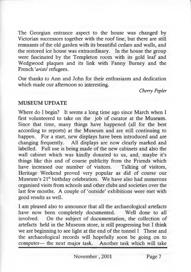The Georgian entrance aspect to the house was changed by Victorian successors together with the roof line, but there are still remnants of the old garden with its beautiful cedars and walls, and the restored ice house was extraordinary. In the house the group were fascinated by the Templeton room with its gold leaf and Wedgwood plaques and its link with Fanny Burney and the French *'aristo'* refugees.

Our thanks to Ann and John for their enthusiasm and dedication which made our afternoon so interesting.

*Cherry Pepler*

#### MUSEUM UPDATE

Where do I begin? It seems a long time ago since March when I first volunteered to take on the job of curator at the Museum. Since that time, many things have happened (all for the best according to reports) at the Museum and are still continuing to happen. For a start, new displays have been introduced and are changing frequently. All displays are now clearly marked and labelled. Full use is being made of the new cabinets and also the wall cabinet which was kindly donated to us, and, maybe it's things like this and of course publicity from the Friends which have increased our number of visitors. Talking of visitors, Heritage Weekend proved very popular as did of course our Museum's 21<sup>st</sup> birthday celebration. We have also had numerous organised visits from schools and other clubs and societies over the last few months. A couple of 'outside' exhibitions were met with good results as well.

I am pleased also to announce that all the archaeological artefacts have now been completely documented. Well done to all involved. On the subject of documentation, the collection of artefacts held in the Museum store, is still progressing but I think we are beginning to see light at the end of the tunnel! These and the archaeological records will hopefully soon be going on to computer— the next major task. Another task which will take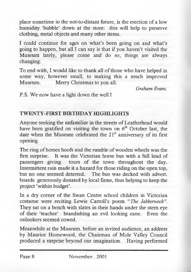place sometime in the not-to-distant future, is the erection of a low humidity 'bubble' down at the store: this will help to preserve clothing, metal objects and many other items.

I could continue for ages on what's been going on and what's going to happen, but all I can say is that if you haven't visited the Museum lately, please come and do so, things are always changing.

To end with, I would like to thank all of those who have helped in some way, however small, to making this a much improved Museum. Merry Christmas to you all.

*Graham Evans.*

P.S. We now have a light down the well!

# TWENTY-FIRST BIRTHDAY HIGHLIGHTS

Anyone seeking the unfamiliar in the streets of Leatherhead would have been gratified on visiting the town on  $6<sup>th</sup>$  October last, the date when the Museum celebrated the 21<sup>st</sup> anniversary of its first opening.

The ring of horses hoofs and the rumble of wooden wheels was the first surprise. It was the Victorian horse bus with a full load of passengers giving tours of the town throughout the day. Intermittent rain made it a hazard for those riding on the open top, but no one seemed deterred. The bus was decked with advert, boards generously donated by local firms, thus helping to keep the project 'within budget'.

In a dry comer of the Swan Centre school children in Victorian costume were reciting Lewis Carroll's poem *"The Jabberwock".* They sat on a bench with slates in their hands under the stem eye of their 'teacher' brandishing an evil looking cane. Even the onlookers seemed cowed.

Meanwhile at the Museum, before an invited audience, an address by Maurice Homewood, the Chairman of Mole Valley Council produced a surprise beyond our imagination. Having performed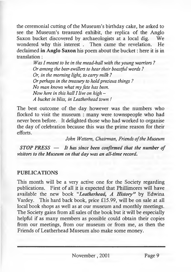the ceremonial cutting of the Museum's birthday cake, he asked to see the Museum's treasured exhibit, the replica of the Anglo Saxon bucket discovered by archaeologists at a local dig. We wondered why this interest . Then came the revelation. He declaimed in Anglo Saxon his poem about the bucket: here it is in translation:

> *Was I meant to be in the mead-hall with the young warriors ? Or among the beer-swillers to hear their boastful words ? Or, in the morning light, to carry milk ? Or perhaps in the treasury to hold precious things ? No man knows what my fate has been. Now here in this hall I live on high - A bucket in bliss, in Leatherhead town !*

The best outcome of the day however was the numbers who flocked to visit the museum : many were townspeople who had never been before. It delighted those who had worked to organise the day of celebration because this was the prime reason for their efforts.

*John Wettem, Chairman, Friends of the Museum*

*STOP PRESS* **—** *It has since been confirmed that the number of visitors to the Museum on that day was an all-time record.*

#### PUBLICATIONS

This month will be a very active one for the Society regarding publications. First of all it is expected that Phillimores will have available the new book "*Leatherhead*, *A History*" by Edwina Vardey. This hard back book, price £15.99, will be on sale at all local book shops as well as at our museum and monthly meetings. The Society gains from all sales of the book but it will be especially helpful if as many members as possible could obtain their copies from our meetings, from our museum or from me, as then the Friends of Leatherhead Museum also make some money.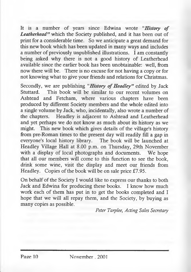It is a number of years since Edwina wrote *"History of Leatherhead"* which the Society published, and it has been out of print for a considerable time. So we anticipate a great demand for this new book which has been updated in many ways and includes a number of previously unpublished illustrations. I am constantly being asked why there is not a good history of Leatherhead available since the earlier book has been unobtainable: well, from now there will be. There is no excuse for not having a copy or for not knowing what to give your friends and relations for Christmas.

Secondly, we are publishing " *History of Headley"* edited by Jack Stuttard. This book will be similar to our recent volumes on Ashtead and Fetcham, where various chapters have been produced by different Society members and the whole edited into a single volume by Jack, who, incidentally, also wrote a number of the chapters. Headley is adjacent to Ashtead and Leatherhead and yet perhaps we do not know as much about its history as we might. This new book which gives details of the village's history from pre-Roman times to the present day will readily fill a gap in everyone's local history library. The book will be launched at Headley Village Hall at 8.00 p.m. on Thursday, 29th November with a display of local photographs and documents. We hope that all our members will come to this function to see the book, drink some wine, visit the display and meet our friends from Headley. Copies of the book will be on sale price £7.95.

On behalf of the Society I would like to express our thanks to both Jack and Edwina for producing these books. I know how much work each of them has put in to get the books completed and I hope that we will all repay them, and the Society, by buying as many copies as possible.

*Peter Tarplee, Acting Sales Secretary*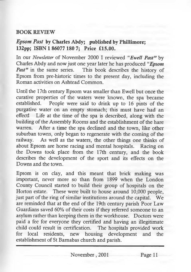#### **BOOK REVIEW**

## *Epsom Past* **by Charles Abdy; published by Phillimore; 132pp; ISBN 1 86077 180 7; Price £15.00.**

In our *Newsletter* of November 2000 I reviewed *"Ewell Past"* by Charles Abdy and now just one year later he has produced *"Epsom* This book describes the history of Epsom from pre-historic times to the present day, including the Roman activities on Ashtead Common.

Until the 17th century Epsom was smaller than Ewell but once the curative properties of the waters were known, the spa became established. People were said to drink up to 16 pints of the purgative water on an empty stomach; this must have had an effect! Life at the time of the spa is described, along with the building of the Assembly Rooms and the establishment of the hare warren. After a time the spa declined and the town, like other suburban towns, only began to regenerate with the coming of the railway. As well as the waters, the other things one thinks of about Epsom are horse racing and mental hospitals. Racing on the Downs took place from the 17th century, and the book describes the development of the sport and its effects on the Downs and the town.

Epsom is on clay, and this meant that brick making was important, never more so than from 1899 when the London County Council started to build their group of hospitals on the Horton estate. These were built to house around 10,000 people, just part of the ring of similar institutions around the capital. We are reminded that at the end of the 19th century parish Poor Law Guardians saved 60% of their costs if they referred someone to an asylum rather than keeping them in the workhouse. Doctors were paid a fee for everyone they certified and having an illegitimate child could result in certification. The hospitals provided work for local residents, new housing development and the establishment of St Barnabas church and parish.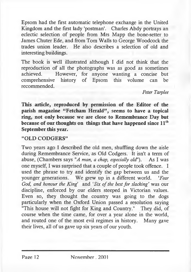Epsom had the first automatic telephone exchange in the United Kingdom and the first lady 'postman'. Charles Abdy portrays an eclectic selection of people from Mrs Mapp the bone-setter to James Chuter Ede, and from Tom Walls to George Woodcock the trades union leader. He also describes a selection of old and interesting buildings.

The book is well illustrated although I did not think that the reproduction of all the photographs was as good as sometimes However, for anyone wanting a concise but comprehensive history of Epsom this volume can be recommended.

#### *Peter Tarplee*

This article, reproduced by permission of the Editor of the parish magazine "Fetcham Herald", seems to have a topical ring, not only because we are close to Remembrance Day but because of our thoughts on things that have happened since  $11<sup>th</sup>$ September this year.

#### "OLD CODGERS"

Two years ago I described the old men, shuffling down the aisle during Remembrance Service, as Old Codgers. It isn't a term of abuse, (Chambers says *"A man, a chap, especially old').* As I was one myself, I was surprised that a couple of people took offence. I used the phrase to try and identify the gap between us and the younger generations. We grew up in a different world. *'Fear God, and honour the King'* and *'Six of the best for slacking'* was our discipline, enforced by our elders steeped in Victorian values. Even so, they thought the country was going to the dogs particularly when the Oxford Union passed a resolution saying "This house will not fight for King and Country." They did, of course when the time came, for over a year alone in the world, and routed one of the most evil regimes in history. Many gave their lives, all of us gave up six years of our youth.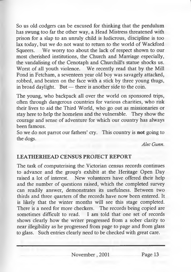So us old codgers can be excused for thinking that the pendulum has swung too far the other way, a Head Mistress threatened with prison for a slap to an unruly child is ludicrous, discipline is too lax today, but we do not want to return to the world of Wackford Squeers. We worry too about the lack of respect shown to our most cherished institutions, the Church and Marriage especially, the vandalising of the Cenotaph and Churchill's statue shocks us. Worst of all youth violence. We recently read that by the Mill Pond in Fetcham, a seventeen year old boy was savagely attacked, robbed, and beaten on the face with a stick by three young thugs, in broad daylight. But — there is another side to the coin.

The young, who backpack all over the world on sponsored trips, often through dangerous countries for various charities, who risk their lives to aid the Third World, who go out as missionaries or stay here to help the homeless and the vulnerable. They show the courage and sense of adventure for which our country has always been famous.

So we do not parrot our fathers' cry. This country is **not** going to the dogs.

*Alec Gunn.*

#### LEATHERHEAD CENSUS PROJECT REPORT

The task of computerising the Victorian census records continues to advance and the group's exhibit at the Heritage Open Day raised a lot of interest. New volunteers have offered their help and the number of questions raised, which the completed survey can readily answer, demonstrates its usefulness. Between two thirds and three quarters of the records have now been entered. It is likely that the winter months will see this stage completed. There is a need for more checkers. The records being copied are sometimes difficult to read. I am told that one set of records shows clearly how the writer progressed from a sober clarity to near illegibility as he progressed from page to page and from glass to glass. Such entries clearly need to be checked with great care.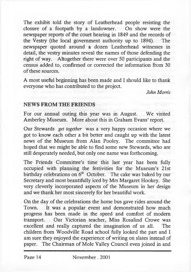The exhibit told the story of Leatherhead people resisting the closure of a footpath by a landowner. On show were the newspaper reports of the court hearing in 1849 and the records of the Vestry (the local government authority up to 1894). The newspaper quoted around a dozen Leatherhead witnesses in detail, the vestry minutes reveal the names of those defending the right of way. Altogether there were over 50 participants and the census added to, confirmed or corrected the information from 30 of these sources.

A most useful beginning has been made and I should like to thank everyone who has contributed to the project.

*John Morris*

#### NEWS FROM THE FRIENDS

For our annual outing this year was in August. We visited Amberley Museum. More about this in Graham Evans' report.

Our Stewards *get together* was a very happy occasion where we got to know each other a bit better and caught up with the latest news of the Museum from Alan Pooley. The committee had hoped that we might be able to find some new Stewards, who are still desperately needed, but only one name was forthcoming.

The Friends Committee's time this last year has been fully occupied with planning the festivities for the Museum's 21st birthday celebrations on  $6<sup>th</sup>$  October. The cake was baked by our Secretary and most beautifully iced by Mrs Margaret Hookey. She very cleverly incorporated aspects of the Museum in her design and we thank her most sincerely for her beautiful work.

On the day of the celebrations the horse bus gave rides around the Town. It was a popular event and demonstrated how much progress has been made in the speed and comfort of modern transport. Our Victorian teacher, Miss Rosalind Crowe was excellent and really captured the imagination of us all. The children from Woodville Road school fully looked the part and I am sure they enjoyed the experience of writing on slates instead of paper. The Chairman of Mole Valley Council even joined in and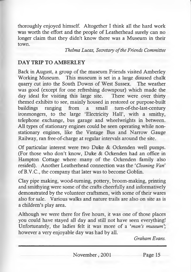thoroughly enjoyed himself. Altogether I think all the hard work was worth the effort and the people of Leatherhead surely can no longer claim that they didn't know there was a Museum in their town.

*Thelma Lucas, Secretary of the Friends Committee*

#### **DAY TRIP TO AMBERLEY**

Back in August, a group of the museum Friends visited Amberley Working Museum. This museum is set in a large disused chalk quarry cut into the South Downs of West Sussex. The weather was good (except for one refreshing downpour) which made the day ideal for visiting this large site. There were over thirty themed exhibits to see, mainly housed in restored or purpose-built buildings ranging from a small tum-of-the-last-century ironmongers, to the large 'Electricity Hall', with a smithy, telephone exchange, bus garage and wheelwrights in between. All types of stationary engines could be seen operating while nonstationary engines, like the Vintage Bus and Narrow Gauge Railway, ran free-of-charge at regular intervals around the site.

Of particular interest were two Duke & Ockenden well pumps. (For those who don't know, Duke & Ockenden had an office in Hampton Cottage where many of the Ockenden family also resided). Another Leatherhead connection was the '*Cleaning Van'* of B.V.C., the company that later was to become Goblin.

Clay pipe making, wood-turning, pottery, broom-making, printing and smithying were some of the crafts cheerfully and informatively demonstrated by the volunteer craftsmen, with some of their wares also for sale. Various walks and nature trails are also on site as is a children's play area.

Although we were there for five hours, it was one of those places you could have stayed all day and still not have seen everything! Unfortunately, the ladies felt it was more of a '*man's museum* however a very enjoyable day was had by all.

*Graham Evans.*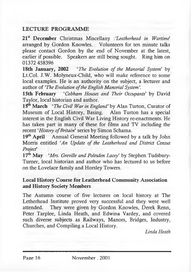# **LECTURE PROGRAMME**

21st December Christmas Miscellany *-.'Leatherhead in Wartime'* arranged by Gordon Knowles. Volunteers for ten minute talks please contact Gordon by the end of November at the latest, earlier if possible. Speakers are still being sought. Ring him on 01372 458396

18th January, 2002 *'The Evolution of the Manorial System'* by Lt.Col. J.W. Molyneux-Child, who will make reference to some local examples. He is an authority on the subject, a lecturer and author of *'The Evolution of the English Manorial System'.*

15th February '*Cobham Houses and Their Occupants'* by David Taylor, local historian and author.

15<sup>th</sup> March 'The Civil War in England' by Alan Turton, Curator of Museum of Local History, Basing. Alan Turton has a special interest in the English Civil War Living History re-enactments. He has taken part in many of these for films and TV including the recent *'History of Britain'* series by Simon Schama.

19<sup>th</sup> April Annual General Meeting followed by a talk by John Morris entitled *'An Update of the Leatherhead and District Census Projecf*

17<sup>th</sup> May *'Mrs. Greville and Polesden Lacey'* by Stephen Tudsbury-Tumer, local historian and author who has lectured to us before on the Lovelace family and Horsley Towers.

#### Local History Course for Leatherhead Community Association and History Society Members

The Autumn course of five lectures on local history at The Letherhead Institute proved very successful and they were well attended. They were given by Gordon Knowles, Derek Renn, Peter Tarplee, Linda Heath, and Edwina Vardey, and covered such diverse subjects as Railways, Manors, Bridges, Industry, Churches, and Compiling a Local History.

*Linda Heath*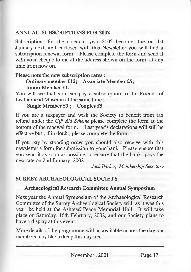# **ANNUAL SUBSCRIPTIONS FOR 2002**

Subscriptions for the calendar year 2002 become due on 1st January next, and enclosed with this Newsletter you will find a subscription renewal form. Please complete the form and send it with your cheque to me at the address shown on the form, at any time from now on.

### Please note the new subscription rates :

#### Ordinary member £12; Associate Member £5; Junior Member £1.

You will see that you can pay a subscription to the Friends of Leatherhead Museum at the same time :

# Single Member £3 ; Couples £5

If you are a taxpayer and wish the Society to benefit from tax refund under the *Gift Aid Scheme* please complete the form at the bottom of the renewal form. Last year's declarations will still be effective but, if in doubt, please complete the form.

If you pay by standing order you should also receive with this newsletter a form for submission to your bank. Please ensure that you send it as soon as possible, to ensure that the bank pays the new rate on 2nd January, 2002.

*Jack Barker, Membership Secretary*

# SURREY ARCHAEOLOGICAL SOCIETY

# Archaeological Research Committee Annual Symposium

Next year the Annual Symposium of the Archaeological Research Committee of the Surrey Archaeological Society will, as it was this year, be held at the Ashtead Peace Memorial Hall. It will take place on Saturday, 16th February, 2002, and our Society plans to have a display at this event.

More details of the programme will be available nearer the day but members may like to keep this day free.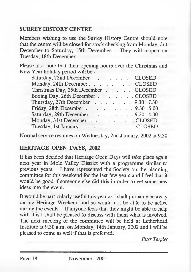# SURREY HISTORY CENTRE

Members wishing to use the Surrey History Centre should note that the centre will be closed for stock checking from Monday, 3rd December to Saturday, 15th December. They will reopen on Tuesday, 18th December.

Please also note that their opening hours over the Christmas and New Year holiday period will be:-

| Saturday, 22nd December CLOSED      |
|-------------------------------------|
| Monday, 24th December. CLOSED       |
| Christmas Day, 25th December CLOSED |
| Boxing Day, 26th December CLOSED    |
| Thursday, 27th December 9.30 - 7.30 |
| Friday, 28th December 9.30 - 5.00   |
| Saturday, 29th December 9.30 - 4.00 |
| Monday, 31st December CLOSED        |
| Tuesday, 1st January CLOSED         |
|                                     |

Normal service resumes on Wednesday, 2nd January, 2002 at 9.30

#### HERITAGE OPEN DAYS, 2002

It has been decided that Heritage Open Days will take place again next year in Mole Valley District with a programme similar to previous years. I have represented the Society on the planning committee for this weekend for the last few years and I feel that it would be good if someone else did this in order to get some new ideas into the event.

It would be particularly useful this year as I shall probably be away during Heritage Weekend and so would not be able to be active during the events. If anyone feels that they might be able to help with this I shall be pleased to discuss with them what is involved. The next meeting of the committee will be held at Letherhead Institute at 9.30 a.m. on Monday, 14th January, 2002 and I will be pleased to come as well if that is preferred.

*Peter Tarplee*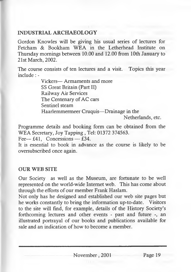## INDUSTRIAL ARCHAEOLOGY

Gordon Knowles will be giving his usual series of lectures for Fetcham & Bookham WEA in the Letherhead Institute on Thursday mornings between 10.00 and 12.00 from 10th January to 21st March, 2002.

The course consists of ten lectures and a visit. Topics this year include: -

> Vickers— Armaments and more SS Great Britain (Part II) Railway Air Services The Centenary of AC cars Sentinel steam Haarlemmermeer Cruquis—Drainage in the Netherlands, etc.

Programme details and booking form can be obtained from the WEA Secretary, Joy Tapping , Tel: 01372 374563.

Fee—  $£41$ , Concessions — £34.

It is essential to book in advance as the course is likely to be oversubscribed once again.

#### OUR WEB SITE

Our Society as well as the Museum, are fortunate to be well represented on the world-wide Internet web. This has come about through the efforts of our member Frank Haslam.

Not only has he designed and established our web site pages but he works constantly to bring the information up-to-date. Visitors to the site will find, for example, details of the History Society's forthcoming lectures and other events - past and future -, an illustrated portrayal of our books and publications available for sale and an indication of how to become a member.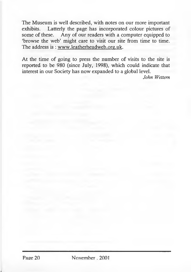The Museum is well described, with notes on our more important exhibits. Latterly the page has incorporated colour pictures of some of these. Any of our readers with a computer equipped to 'browse the web' might care to visit our site from time to time. The address is : [www.leatherheadweb.org.uk](http://www.leatherheadweb.org.uk).

At the time of going to press the number of visits to the site is reported to be 980 (since July, 1998), which could indicate that interest in our Society has now expanded to a global level.

*John Wettem*